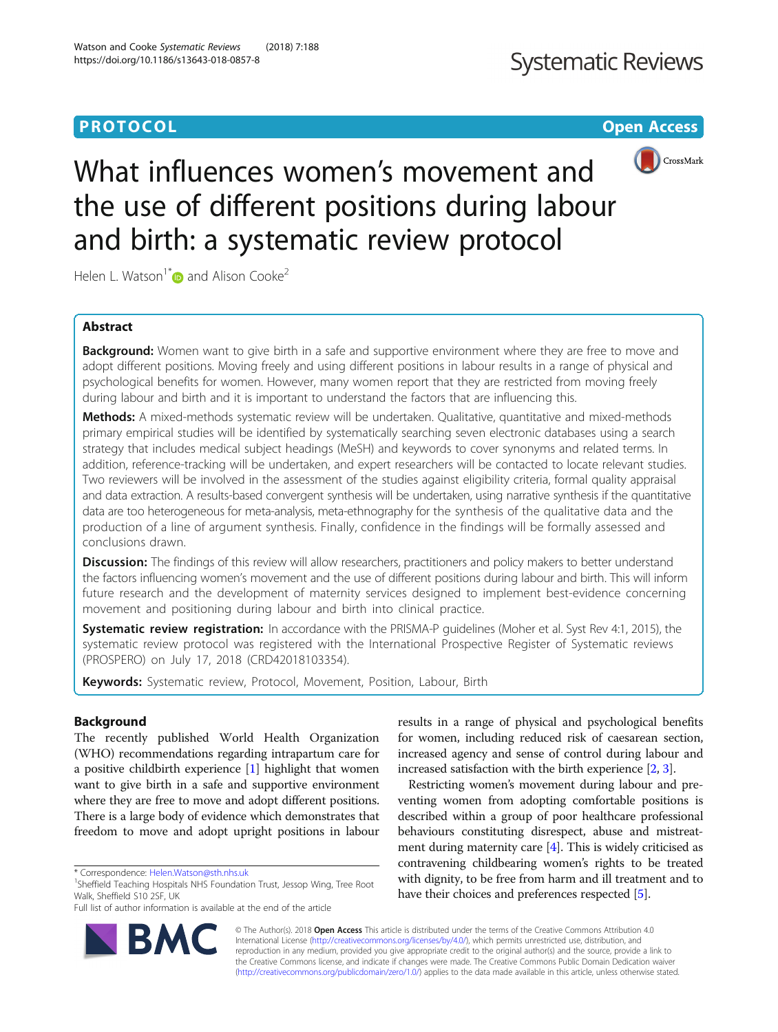# **PROTOCOL CONSUMING THE OPEN ACCESS**



# What influences women's movement and the use of different positions during labour and birth: a systematic review protocol

Helen L. Watson<sup>1\*</sup> $\bullet$  and Alison Cooke<sup>2</sup>

# Abstract

**Background:** Women want to give birth in a safe and supportive environment where they are free to move and adopt different positions. Moving freely and using different positions in labour results in a range of physical and psychological benefits for women. However, many women report that they are restricted from moving freely during labour and birth and it is important to understand the factors that are influencing this.

Methods: A mixed-methods systematic review will be undertaken. Qualitative, quantitative and mixed-methods primary empirical studies will be identified by systematically searching seven electronic databases using a search strategy that includes medical subject headings (MeSH) and keywords to cover synonyms and related terms. In addition, reference-tracking will be undertaken, and expert researchers will be contacted to locate relevant studies. Two reviewers will be involved in the assessment of the studies against eligibility criteria, formal quality appraisal and data extraction. A results-based convergent synthesis will be undertaken, using narrative synthesis if the quantitative data are too heterogeneous for meta-analysis, meta-ethnography for the synthesis of the qualitative data and the production of a line of argument synthesis. Finally, confidence in the findings will be formally assessed and conclusions drawn.

Discussion: The findings of this review will allow researchers, practitioners and policy makers to better understand the factors influencing women's movement and the use of different positions during labour and birth. This will inform future research and the development of maternity services designed to implement best-evidence concerning movement and positioning during labour and birth into clinical practice.

**Systematic review registration:** In accordance with the PRISMA-P guidelines (Moher et al. Syst Rev 4:1, 2015), the systematic review protocol was registered with the International Prospective Register of Systematic reviews (PROSPERO) on July 17, 2018 (CRD42018103354).

Keywords: Systematic review, Protocol, Movement, Position, Labour, Birth

# Background

The recently published World Health Organization (WHO) recommendations regarding intrapartum care for a positive childbirth experience [\[1\]](#page-4-0) highlight that women want to give birth in a safe and supportive environment where they are free to move and adopt different positions. There is a large body of evidence which demonstrates that freedom to move and adopt upright positions in labour

Full list of author information is available at the end of the article



Restricting women's movement during labour and preventing women from adopting comfortable positions is described within a group of poor healthcare professional behaviours constituting disrespect, abuse and mistreatment during maternity care [\[4](#page-4-0)]. This is widely criticised as contravening childbearing women's rights to be treated with dignity, to be free from harm and ill treatment and to have their choices and preferences respected [\[5\]](#page-4-0).



© The Author(s). 2018 Open Access This article is distributed under the terms of the Creative Commons Attribution 4.0 International License [\(http://creativecommons.org/licenses/by/4.0/](http://creativecommons.org/licenses/by/4.0/)), which permits unrestricted use, distribution, and reproduction in any medium, provided you give appropriate credit to the original author(s) and the source, provide a link to the Creative Commons license, and indicate if changes were made. The Creative Commons Public Domain Dedication waiver [\(http://creativecommons.org/publicdomain/zero/1.0/](http://creativecommons.org/publicdomain/zero/1.0/)) applies to the data made available in this article, unless otherwise stated.

<sup>\*</sup> Correspondence: [Helen.Watson@sth.nhs.uk](mailto:Helen.Watson@sth.nhs.uk) <sup>1</sup>

<sup>&</sup>lt;sup>1</sup>Sheffield Teaching Hospitals NHS Foundation Trust, Jessop Wing, Tree Root Walk, Sheffield S10 2SF, UK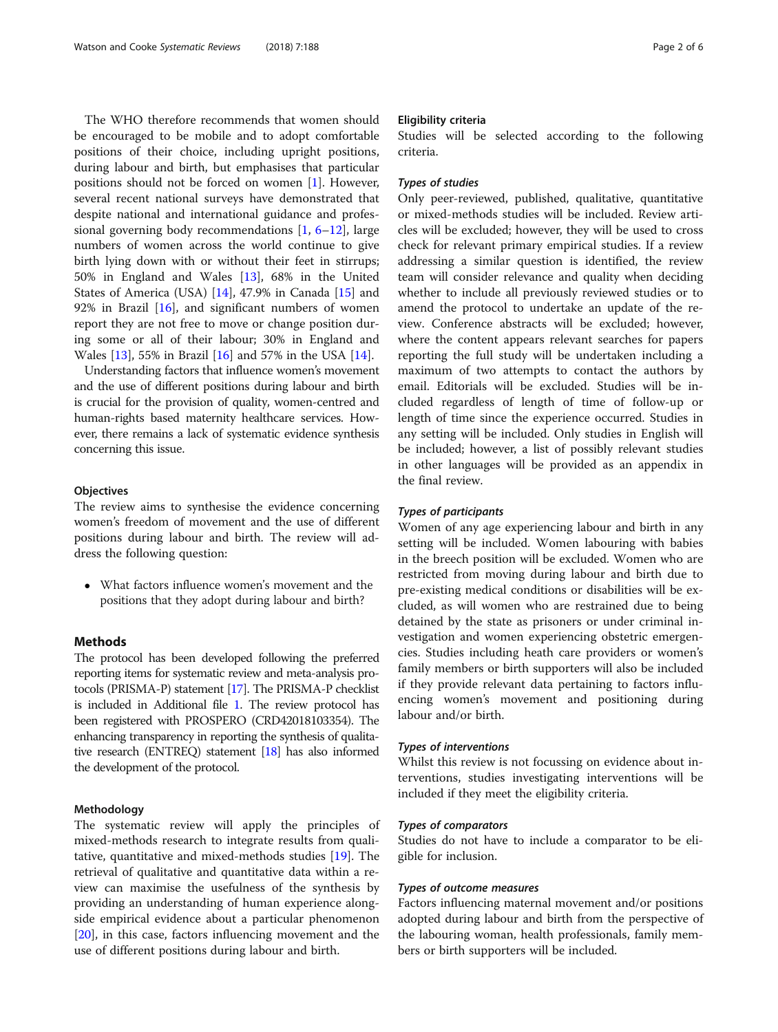The WHO therefore recommends that women should be encouraged to be mobile and to adopt comfortable positions of their choice, including upright positions, during labour and birth, but emphasises that particular positions should not be forced on women [[1\]](#page-4-0). However, several recent national surveys have demonstrated that despite national and international guidance and professional governing body recommendations [\[1,](#page-4-0) [6](#page-4-0)–[12](#page-4-0)], large numbers of women across the world continue to give birth lying down with or without their feet in stirrups; 50% in England and Wales [[13\]](#page-4-0), 68% in the United States of America (USA) [\[14](#page-4-0)], 47.9% in Canada [\[15](#page-4-0)] and 92% in Brazil  $[16]$  $[16]$  $[16]$ , and significant numbers of women report they are not free to move or change position during some or all of their labour; 30% in England and Wales [[13\]](#page-4-0), 55% in Brazil [[16\]](#page-4-0) and 57% in the USA [\[14](#page-4-0)].

Understanding factors that influence women's movement and the use of different positions during labour and birth is crucial for the provision of quality, women-centred and human-rights based maternity healthcare services. However, there remains a lack of systematic evidence synthesis concerning this issue.

#### **Objectives**

The review aims to synthesise the evidence concerning women's freedom of movement and the use of different positions during labour and birth. The review will address the following question:

 What factors influence women's movement and the positions that they adopt during labour and birth?

# Methods

The protocol has been developed following the preferred reporting items for systematic review and meta-analysis protocols (PRISMA-P) statement [\[17](#page-4-0)]. The PRISMA-P checklist is included in Additional file [1.](#page-4-0) The review protocol has been registered with PROSPERO (CRD42018103354). The enhancing transparency in reporting the synthesis of qualitative research (ENTREQ) statement [[18](#page-4-0)] has also informed the development of the protocol.

## Methodology

The systematic review will apply the principles of mixed-methods research to integrate results from qualitative, quantitative and mixed-methods studies [[19\]](#page-4-0). The retrieval of qualitative and quantitative data within a review can maximise the usefulness of the synthesis by providing an understanding of human experience alongside empirical evidence about a particular phenomenon [[20\]](#page-5-0), in this case, factors influencing movement and the use of different positions during labour and birth.

# Eligibility criteria

Studies will be selected according to the following criteria.

# Types of studies

Only peer-reviewed, published, qualitative, quantitative or mixed-methods studies will be included. Review articles will be excluded; however, they will be used to cross check for relevant primary empirical studies. If a review addressing a similar question is identified, the review team will consider relevance and quality when deciding whether to include all previously reviewed studies or to amend the protocol to undertake an update of the review. Conference abstracts will be excluded; however, where the content appears relevant searches for papers reporting the full study will be undertaken including a maximum of two attempts to contact the authors by email. Editorials will be excluded. Studies will be included regardless of length of time of follow-up or length of time since the experience occurred. Studies in any setting will be included. Only studies in English will be included; however, a list of possibly relevant studies in other languages will be provided as an appendix in the final review.

# Types of participants

Women of any age experiencing labour and birth in any setting will be included. Women labouring with babies in the breech position will be excluded. Women who are restricted from moving during labour and birth due to pre-existing medical conditions or disabilities will be excluded, as will women who are restrained due to being detained by the state as prisoners or under criminal investigation and women experiencing obstetric emergencies. Studies including heath care providers or women's family members or birth supporters will also be included if they provide relevant data pertaining to factors influencing women's movement and positioning during labour and/or birth.

# Types of interventions

Whilst this review is not focussing on evidence about interventions, studies investigating interventions will be included if they meet the eligibility criteria.

## Types of comparators

Studies do not have to include a comparator to be eligible for inclusion.

# Types of outcome measures

Factors influencing maternal movement and/or positions adopted during labour and birth from the perspective of the labouring woman, health professionals, family members or birth supporters will be included.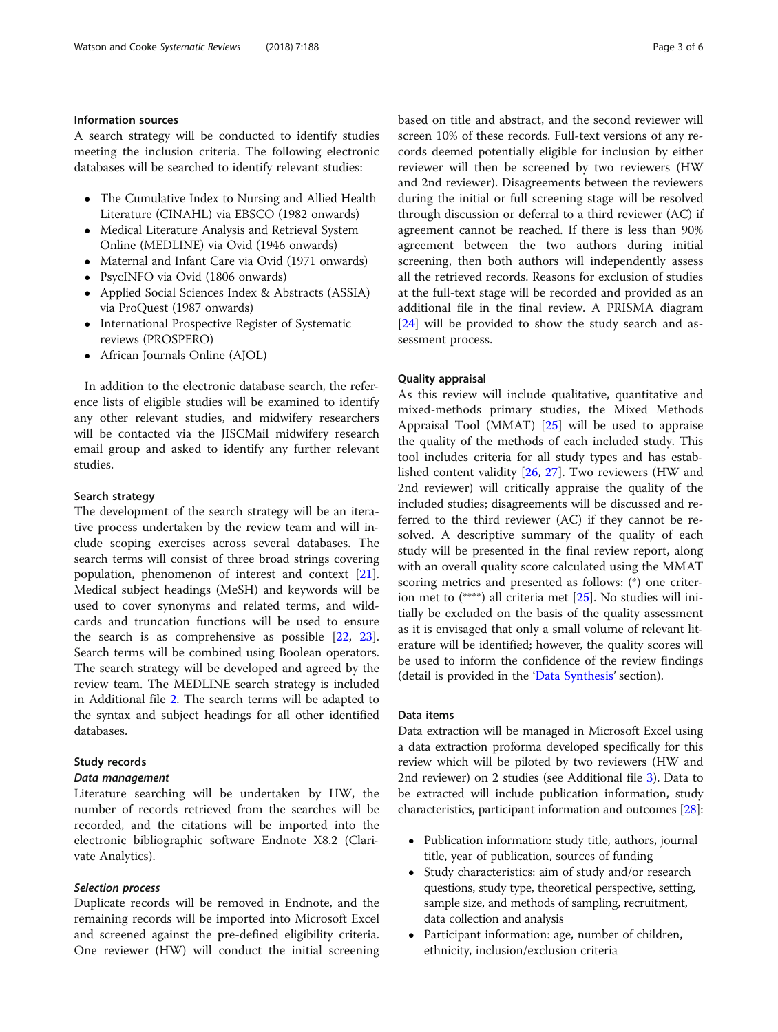# Information sources

A search strategy will be conducted to identify studies meeting the inclusion criteria. The following electronic databases will be searched to identify relevant studies:

- The Cumulative Index to Nursing and Allied Health Literature (CINAHL) via EBSCO (1982 onwards)
- Medical Literature Analysis and Retrieval System Online (MEDLINE) via Ovid (1946 onwards)
- Maternal and Infant Care via Ovid (1971 onwards)
- PsycINFO via Ovid (1806 onwards)
- Applied Social Sciences Index & Abstracts (ASSIA) via ProQuest (1987 onwards)
- International Prospective Register of Systematic reviews (PROSPERO)
- African Journals Online (AJOL)

In addition to the electronic database search, the reference lists of eligible studies will be examined to identify any other relevant studies, and midwifery researchers will be contacted via the JISCMail midwifery research email group and asked to identify any further relevant studies.

# Search strategy

The development of the search strategy will be an iterative process undertaken by the review team and will include scoping exercises across several databases. The search terms will consist of three broad strings covering population, phenomenon of interest and context [\[21](#page-5-0)]. Medical subject headings (MeSH) and keywords will be used to cover synonyms and related terms, and wildcards and truncation functions will be used to ensure the search is as comprehensive as possible [\[22](#page-5-0), [23](#page-5-0)]. Search terms will be combined using Boolean operators. The search strategy will be developed and agreed by the review team. The MEDLINE search strategy is included in Additional file [2](#page-4-0). The search terms will be adapted to the syntax and subject headings for all other identified databases.

## Study records

#### Data management

Literature searching will be undertaken by HW, the number of records retrieved from the searches will be recorded, and the citations will be imported into the electronic bibliographic software Endnote X8.2 (Clarivate Analytics).

#### Selection process

Duplicate records will be removed in Endnote, and the remaining records will be imported into Microsoft Excel and screened against the pre-defined eligibility criteria. One reviewer (HW) will conduct the initial screening based on title and abstract, and the second reviewer will screen 10% of these records. Full-text versions of any records deemed potentially eligible for inclusion by either reviewer will then be screened by two reviewers (HW and 2nd reviewer). Disagreements between the reviewers during the initial or full screening stage will be resolved through discussion or deferral to a third reviewer (AC) if agreement cannot be reached. If there is less than 90% agreement between the two authors during initial screening, then both authors will independently assess all the retrieved records. Reasons for exclusion of studies at the full-text stage will be recorded and provided as an additional file in the final review. A PRISMA diagram [[24\]](#page-5-0) will be provided to show the study search and assessment process.

#### Quality appraisal

As this review will include qualitative, quantitative and mixed-methods primary studies, the Mixed Methods Appraisal Tool (MMAT) [[25](#page-5-0)] will be used to appraise the quality of the methods of each included study. This tool includes criteria for all study types and has established content validity [\[26,](#page-5-0) [27](#page-5-0)]. Two reviewers (HW and 2nd reviewer) will critically appraise the quality of the included studies; disagreements will be discussed and referred to the third reviewer (AC) if they cannot be resolved. A descriptive summary of the quality of each study will be presented in the final review report, along with an overall quality score calculated using the MMAT scoring metrics and presented as follows: (\*) one criterion met to (\*\*\*\*) all criteria met [[25](#page-5-0)]. No studies will initially be excluded on the basis of the quality assessment as it is envisaged that only a small volume of relevant literature will be identified; however, the quality scores will be used to inform the confidence of the review findings (detail is provided in the '[Data Synthesis](#page-3-0)' section).

#### Data items

Data extraction will be managed in Microsoft Excel using a data extraction proforma developed specifically for this review which will be piloted by two reviewers (HW and 2nd reviewer) on 2 studies (see Additional file [3\)](#page-4-0). Data to be extracted will include publication information, study characteristics, participant information and outcomes [[28](#page-5-0)]:

- Publication information: study title, authors, journal title, year of publication, sources of funding
- Study characteristics: aim of study and/or research questions, study type, theoretical perspective, setting, sample size, and methods of sampling, recruitment, data collection and analysis
- Participant information: age, number of children, ethnicity, inclusion/exclusion criteria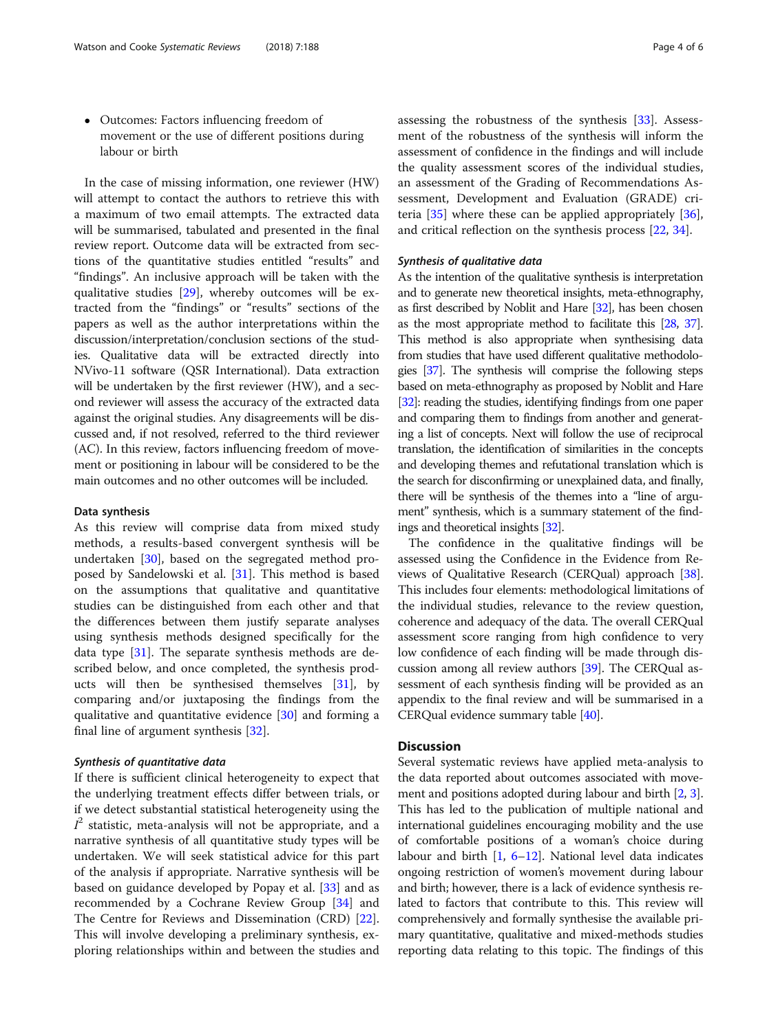<span id="page-3-0"></span> Outcomes: Factors influencing freedom of movement or the use of different positions during labour or birth

In the case of missing information, one reviewer (HW) will attempt to contact the authors to retrieve this with a maximum of two email attempts. The extracted data will be summarised, tabulated and presented in the final review report. Outcome data will be extracted from sections of the quantitative studies entitled "results" and "findings". An inclusive approach will be taken with the qualitative studies [\[29](#page-5-0)], whereby outcomes will be extracted from the "findings" or "results" sections of the papers as well as the author interpretations within the discussion/interpretation/conclusion sections of the studies. Qualitative data will be extracted directly into NVivo-11 software (QSR International). Data extraction will be undertaken by the first reviewer (HW), and a second reviewer will assess the accuracy of the extracted data against the original studies. Any disagreements will be discussed and, if not resolved, referred to the third reviewer (AC). In this review, factors influencing freedom of movement or positioning in labour will be considered to be the main outcomes and no other outcomes will be included.

## Data synthesis

As this review will comprise data from mixed study methods, a results-based convergent synthesis will be undertaken [[30](#page-5-0)], based on the segregated method proposed by Sandelowski et al. [\[31](#page-5-0)]. This method is based on the assumptions that qualitative and quantitative studies can be distinguished from each other and that the differences between them justify separate analyses using synthesis methods designed specifically for the data type  $[31]$  $[31]$ . The separate synthesis methods are described below, and once completed, the synthesis products will then be synthesised themselves [[31\]](#page-5-0), by comparing and/or juxtaposing the findings from the qualitative and quantitative evidence [[30\]](#page-5-0) and forming a final line of argument synthesis [\[32](#page-5-0)].

# Synthesis of quantitative data

If there is sufficient clinical heterogeneity to expect that the underlying treatment effects differ between trials, or if we detect substantial statistical heterogeneity using the  $I^2$  statistic, meta-analysis will not be appropriate, and a narrative synthesis of all quantitative study types will be undertaken. We will seek statistical advice for this part of the analysis if appropriate. Narrative synthesis will be based on guidance developed by Popay et al. [[33\]](#page-5-0) and as recommended by a Cochrane Review Group [\[34](#page-5-0)] and The Centre for Reviews and Dissemination (CRD) [\[22](#page-5-0)]. This will involve developing a preliminary synthesis, exploring relationships within and between the studies and assessing the robustness of the synthesis [\[33](#page-5-0)]. Assessment of the robustness of the synthesis will inform the assessment of confidence in the findings and will include the quality assessment scores of the individual studies, an assessment of the Grading of Recommendations Assessment, Development and Evaluation (GRADE) criteria [[35](#page-5-0)] where these can be applied appropriately [\[36](#page-5-0)], and critical reflection on the synthesis process [\[22](#page-5-0), [34\]](#page-5-0).

# Synthesis of qualitative data

As the intention of the qualitative synthesis is interpretation and to generate new theoretical insights, meta-ethnography, as first described by Noblit and Hare [\[32\]](#page-5-0), has been chosen as the most appropriate method to facilitate this [[28](#page-5-0), [37](#page-5-0)]. This method is also appropriate when synthesising data from studies that have used different qualitative methodologies [[37](#page-5-0)]. The synthesis will comprise the following steps based on meta-ethnography as proposed by Noblit and Hare [[32\]](#page-5-0): reading the studies, identifying findings from one paper and comparing them to findings from another and generating a list of concepts. Next will follow the use of reciprocal translation, the identification of similarities in the concepts and developing themes and refutational translation which is the search for disconfirming or unexplained data, and finally, there will be synthesis of the themes into a "line of argument" synthesis, which is a summary statement of the findings and theoretical insights [\[32](#page-5-0)].

The confidence in the qualitative findings will be assessed using the Confidence in the Evidence from Reviews of Qualitative Research (CERQual) approach [[38](#page-5-0)]. This includes four elements: methodological limitations of the individual studies, relevance to the review question, coherence and adequacy of the data. The overall CERQual assessment score ranging from high confidence to very low confidence of each finding will be made through discussion among all review authors [\[39\]](#page-5-0). The CERQual assessment of each synthesis finding will be provided as an appendix to the final review and will be summarised in a CERQual evidence summary table [\[40\]](#page-5-0).

# **Discussion**

Several systematic reviews have applied meta-analysis to the data reported about outcomes associated with move-ment and positions adopted during labour and birth [\[2,](#page-4-0) [3](#page-4-0)]. This has led to the publication of multiple national and international guidelines encouraging mobility and the use of comfortable positions of a woman's choice during labour and birth [\[1](#page-4-0), [6](#page-4-0)–[12\]](#page-4-0). National level data indicates ongoing restriction of women's movement during labour and birth; however, there is a lack of evidence synthesis related to factors that contribute to this. This review will comprehensively and formally synthesise the available primary quantitative, qualitative and mixed-methods studies reporting data relating to this topic. The findings of this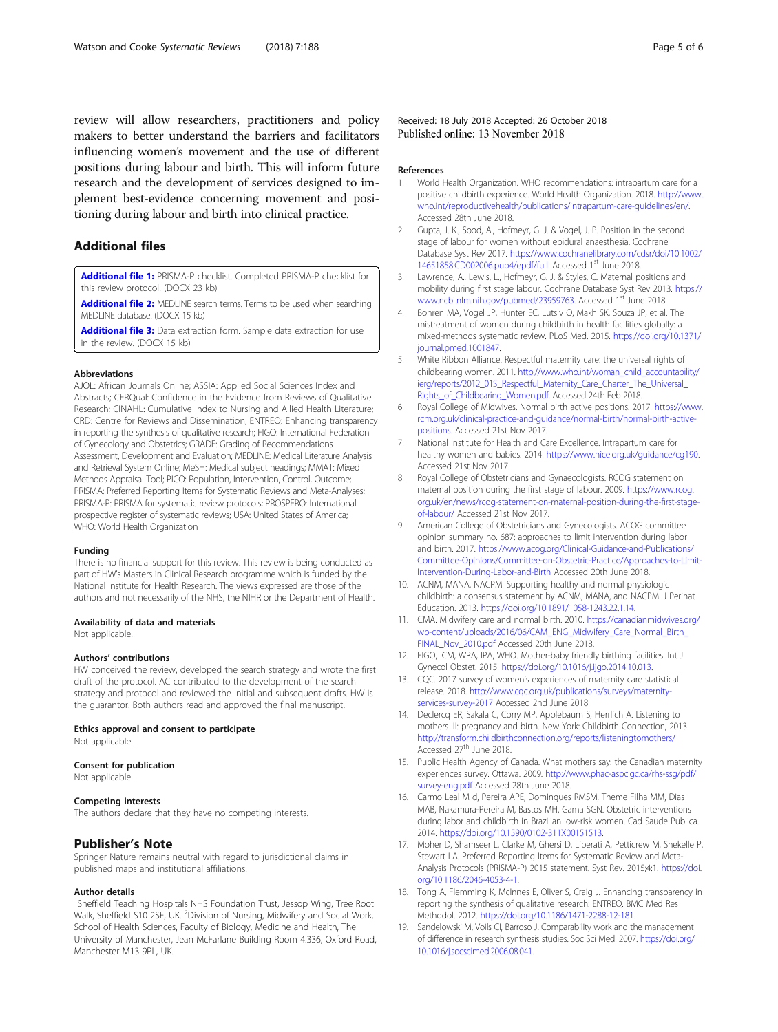<span id="page-4-0"></span>review will allow researchers, practitioners and policy makers to better understand the barriers and facilitators influencing women's movement and the use of different positions during labour and birth. This will inform future research and the development of services designed to implement best-evidence concerning movement and positioning during labour and birth into clinical practice.

# Additional files

[Additional file 1:](https://doi.org/10.1186/s13643-018-0857-8) PRISMA-P checklist. Completed PRISMA-P checklist for this review protocol. (DOCX 23 kb)

[Additional file 2:](https://doi.org/10.1186/s13643-018-0857-8) MEDLINE search terms. Terms to be used when searching MEDLINE database. (DOCX 15 kb)

[Additional file 3:](https://doi.org/10.1186/s13643-018-0857-8) Data extraction form. Sample data extraction for use in the review. (DOCX 15 kb)

#### Abbreviations

AJOL: African Journals Online; ASSIA: Applied Social Sciences Index and Abstracts; CERQual: Confidence in the Evidence from Reviews of Qualitative Research; CINAHL: Cumulative Index to Nursing and Allied Health Literature; CRD: Centre for Reviews and Dissemination; ENTREQ: Enhancing transparency in reporting the synthesis of qualitative research; FIGO: International Federation of Gynecology and Obstetrics; GRADE: Grading of Recommendations Assessment, Development and Evaluation; MEDLINE: Medical Literature Analysis and Retrieval System Online; MeSH: Medical subject headings; MMAT: Mixed Methods Appraisal Tool; PICO: Population, Intervention, Control, Outcome; PRISMA: Preferred Reporting Items for Systematic Reviews and Meta-Analyses; PRISMA-P: PRISMA for systematic review protocols; PROSPERO: International prospective register of systematic reviews; USA: United States of America; WHO: World Health Organization

#### Funding

There is no financial support for this review. This review is being conducted as part of HW's Masters in Clinical Research programme which is funded by the National Institute for Health Research. The views expressed are those of the authors and not necessarily of the NHS, the NIHR or the Department of Health.

#### Availability of data and materials

Not applicable.

#### Authors' contributions

HW conceived the review, developed the search strategy and wrote the first draft of the protocol. AC contributed to the development of the search strategy and protocol and reviewed the initial and subsequent drafts. HW is the guarantor. Both authors read and approved the final manuscript.

#### Ethics approval and consent to participate

Not applicable.

#### Consent for publication

Not applicable.

#### Competing interests

The authors declare that they have no competing interests.

#### Publisher's Note

Springer Nature remains neutral with regard to jurisdictional claims in published maps and institutional affiliations.

#### Author details

<sup>1</sup>Sheffield Teaching Hospitals NHS Foundation Trust, Jessop Wing, Tree Root Walk, Sheffield S10 2SF, UK. <sup>2</sup>Division of Nursing, Midwifery and Social Work, School of Health Sciences, Faculty of Biology, Medicine and Health, The University of Manchester, Jean McFarlane Building Room 4.336, Oxford Road, Manchester M13 9PL, UK.

Received: 18 July 2018 Accepted: 26 October 2018 Published online: 13 November 2018

#### References

- 1. World Health Organization. WHO recommendations: intrapartum care for a positive childbirth experience. World Health Organization. 2018. [http://www.](http://www.who.int/reproductivehealth/publications/intrapartum-care-guidelines/en/) [who.int/reproductivehealth/publications/intrapartum-care-guidelines/en/](http://www.who.int/reproductivehealth/publications/intrapartum-care-guidelines/en/). Accessed 28th June 2018.
- 2. Gupta, J. K., Sood, A., Hofmeyr, G. J. & Vogel, J. P. Position in the second stage of labour for women without epidural anaesthesia. Cochrane Database Syst Rev 2017. [https://www.cochranelibrary.com/cdsr/doi/10.1002/](https://www.cochranelibrary.com/cdsr/doi/10.1002/14651858.CD002006.pub4/epdf/full) [14651858.CD002006.pub4/epdf/full.](https://www.cochranelibrary.com/cdsr/doi/10.1002/14651858.CD002006.pub4/epdf/full) Accessed 1st June 2018.
- 3. Lawrence, A., Lewis, L., Hofmeyr, G. J. & Styles, C. Maternal positions and mobility during first stage labour. Cochrane Database Syst Rev 2013. [https://](https://www.ncbi.nlm.nih.gov/pubmed/23959763) [www.ncbi.nlm.nih.gov/pubmed/23959763.](https://www.ncbi.nlm.nih.gov/pubmed/23959763) Accessed 1st June 2018.
- 4. Bohren MA, Vogel JP, Hunter EC, Lutsiv O, Makh SK, Souza JP, et al. The mistreatment of women during childbirth in health facilities globally: a mixed-methods systematic review. PLoS Med. 2015. [https://doi.org/10.1371/](https://doi.org/10.1371/journal.pmed.1001847) [journal.pmed.1001847](https://doi.org/10.1371/journal.pmed.1001847).
- 5. White Ribbon Alliance. Respectful maternity care: the universal rights of childbearing women. 2011. [http://www.who.int/woman\\_child\\_accountability/](http://www.who.int/woman_child_accountability/ierg/reports/2012_01S_Respectful_Maternity_Care_Charter_The_Universal_Rights_of_Childbearing_Women.pdf) [ierg/reports/2012\\_01S\\_Respectful\\_Maternity\\_Care\\_Charter\\_The\\_Universal\\_](http://www.who.int/woman_child_accountability/ierg/reports/2012_01S_Respectful_Maternity_Care_Charter_The_Universal_Rights_of_Childbearing_Women.pdf) [Rights\\_of\\_Childbearing\\_Women.pdf](http://www.who.int/woman_child_accountability/ierg/reports/2012_01S_Respectful_Maternity_Care_Charter_The_Universal_Rights_of_Childbearing_Women.pdf). Accessed 24th Feb 2018.
- 6. Royal College of Midwives. Normal birth active positions. 2017. [https://www.](https://www.rcm.org.uk/clinical-practice-and-guidance/normal-birth/normal-birth-active-positions) [rcm.org.uk/clinical-practice-and-guidance/normal-birth/normal-birth-active](https://www.rcm.org.uk/clinical-practice-and-guidance/normal-birth/normal-birth-active-positions)[positions](https://www.rcm.org.uk/clinical-practice-and-guidance/normal-birth/normal-birth-active-positions). Accessed 21st Nov 2017.
- National Institute for Health and Care Excellence. Intrapartum care for healthy women and babies. 2014. [https://www.nice.org.uk/guidance/cg190.](https://www.nice.org.uk/guidance/cg190) Accessed 21st Nov 2017.
- 8. Royal College of Obstetricians and Gynaecologists. RCOG statement on maternal position during the first stage of labour. 2009. [https://www.rcog.](https://www.rcog.org.uk/en/news/rcog-statement-on-maternal-position-during-the-first-stage-of-labour/) [org.uk/en/news/rcog-statement-on-maternal-position-during-the-first-stage](https://www.rcog.org.uk/en/news/rcog-statement-on-maternal-position-during-the-first-stage-of-labour/)[of-labour/](https://www.rcog.org.uk/en/news/rcog-statement-on-maternal-position-during-the-first-stage-of-labour/) Accessed 21st Nov 2017.
- 9. American College of Obstetricians and Gynecologists. ACOG committee opinion summary no. 687: approaches to limit intervention during labor and birth. 2017. [https://www.acog.org/Clinical-Guidance-and-Publications/](https://www.acog.org/Clinical-Guidance-and-Publications/Committee-Opinions/Committee-on-Obstetric-Practice/Approaches-to-Limit-Intervention-During-Labor-and-Birth) [Committee-Opinions/Committee-on-Obstetric-Practice/Approaches-to-Limit-](https://www.acog.org/Clinical-Guidance-and-Publications/Committee-Opinions/Committee-on-Obstetric-Practice/Approaches-to-Limit-Intervention-During-Labor-and-Birth)[Intervention-During-Labor-and-Birth](https://www.acog.org/Clinical-Guidance-and-Publications/Committee-Opinions/Committee-on-Obstetric-Practice/Approaches-to-Limit-Intervention-During-Labor-and-Birth) Accessed 20th June 2018.
- 10. ACNM, MANA, NACPM. Supporting healthy and normal physiologic childbirth: a consensus statement by ACNM, MANA, and NACPM. J Perinat Education. 2013. [https://doi.org/10.1891/1058-1243.22.1.14.](https://doi.org/10.1891/1058-1243.22.1.14)
- 11. CMA. Midwifery care and normal birth. 2010. [https://canadianmidwives.org/](https://canadianmidwives.org/wp-content/uploads/2016/06/CAM_ENG_Midwifery_Care_Normal_Birth_FINAL_Nov_2010.pdf) [wp-content/uploads/2016/06/CAM\\_ENG\\_Midwifery\\_Care\\_Normal\\_Birth\\_](https://canadianmidwives.org/wp-content/uploads/2016/06/CAM_ENG_Midwifery_Care_Normal_Birth_FINAL_Nov_2010.pdf) [FINAL\\_Nov\\_2010.pdf](https://canadianmidwives.org/wp-content/uploads/2016/06/CAM_ENG_Midwifery_Care_Normal_Birth_FINAL_Nov_2010.pdf) Accessed 20th June 2018.
- 12. FIGO, ICM, WRA, IPA, WHO. Mother-baby friendly birthing facilities. Int J Gynecol Obstet. 2015. [https://doi.org/10.1016/j.ijgo.2014.10.013.](https://doi.org/10.1016/j.ijgo.2014.10.013)
- 13. CQC. 2017 survey of women's experiences of maternity care statistical release. 2018. [http://www.cqc.org.uk/publications/surveys/maternity](http://www.cqc.org.uk/publications/surveys/maternity-services-survey-2017)[services-survey-2017](http://www.cqc.org.uk/publications/surveys/maternity-services-survey-2017) Accessed 2nd June 2018.
- 14. Declercq ER, Sakala C, Corry MP, Applebaum S, Herrlich A. Listening to mothers III: pregnancy and birth. New York: Childbirth Connection, 2013. <http://transform.childbirthconnection.org/reports/listeningtomothers/> Accessed 27<sup>th</sup> June 2018.
- 15. Public Health Agency of Canada. What mothers say: the Canadian maternity experiences survey. Ottawa. 2009. [http://www.phac-aspc.gc.ca/rhs-ssg/pdf/](http://www.phac-aspc.gc.ca/rhs-ssg/pdf/survey-eng.pdf) [survey-eng.pdf](http://www.phac-aspc.gc.ca/rhs-ssg/pdf/survey-eng.pdf) Accessed 28th June 2018.
- 16. Carmo Leal M d, Pereira APE, Domingues RMSM, Theme Filha MM, Dias MAB, Nakamura-Pereira M, Bastos MH, Gama SGN. Obstetric interventions during labor and childbirth in Brazilian low-risk women. Cad Saude Publica. 2014. <https://doi.org/10.1590/0102-311X00151513>.
- 17. Moher D, Shamseer L, Clarke M, Ghersi D, Liberati A, Petticrew M, Shekelle P, Stewart LA. Preferred Reporting Items for Systematic Review and Meta-Analysis Protocols (PRISMA-P) 2015 statement. Syst Rev. 2015;4:1. [https://doi.](https://doi.org/10.1186/2046-4053-4-1) [org/10.1186/2046-4053-4-1](https://doi.org/10.1186/2046-4053-4-1).
- 18. Tong A, Flemming K, McInnes E, Oliver S, Craig J. Enhancing transparency in reporting the synthesis of qualitative research: ENTREQ. BMC Med Res Methodol. 2012. [https://doi.org/10.1186/1471-2288-12-181.](https://doi.org/10.1186/1471-2288-12-181)
- 19. Sandelowski M, Voils CI, Barroso J. Comparability work and the management of difference in research synthesis studies. Soc Sci Med. 2007. [https://doi.org/](https://doi.org/10.1016/j.socscimed.2006.08.041) [10.1016/j.socscimed.2006.08.041.](https://doi.org/10.1016/j.socscimed.2006.08.041)